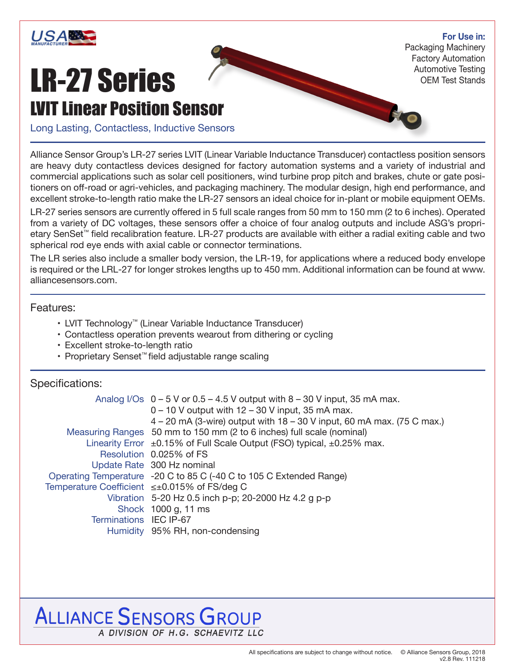

**For Use in:**

LR-27 Series LVIT Linear Position Sensor Packaging Machinery Factory Automation Automotive Testing OEM Test Stands

Long Lasting, Contactless, Inductive Sensors

Alliance Sensor Group's LR-27 series LVIT (Linear Variable Inductance Transducer) contactless position sensors are heavy duty contactless devices designed for factory automation systems and a variety of industrial and commercial applications such as solar cell positioners, wind turbine prop pitch and brakes, chute or gate positioners on off-road or agri-vehicles, and packaging machinery. The modular design, high end performance, and excellent stroke-to-length ratio make the LR-27 sensors an ideal choice for in-plant or mobile equipment OEMs.

LR-27 series sensors are currently offered in 5 full scale ranges from 50 mm to 150 mm (2 to 6 inches). Operated from a variety of DC voltages, these sensors offer a choice of four analog outputs and include ASG's proprietary SenSet™ field recalibration feature. LR-27 products are available with either a radial exiting cable and two spherical rod eye ends with axial cable or connector terminations.

The LR series also include a smaller body version, the LR-19, for applications where a reduced body envelope is required or the LRL-27 for longer strokes lengths up to 450 mm. Additional information can be found at www. alliancesensors.com.

#### Features:

- LVIT Technology™ (Linear Variable Inductance Transducer)
- Contactless operation prevents wearout from dithering or cycling
- Excellent stroke-to-length ratio
- Proprietary Senset™ field adjustable range scaling

#### Specifications:

|                        | Analog I/Os $0 - 5$ V or $0.5 - 4.5$ V output with $8 - 30$ V input, 35 mA max.    |  |  |  |  |
|------------------------|------------------------------------------------------------------------------------|--|--|--|--|
|                        | $0 - 10$ V output with $12 - 30$ V input, 35 mA max.                               |  |  |  |  |
|                        | $4 - 20$ mA (3-wire) output with $18 - 30$ V input, 60 mA max. (75 C max.)         |  |  |  |  |
|                        | Measuring Ranges 50 mm to 150 mm (2 to 6 inches) full scale (nominal)              |  |  |  |  |
|                        | Linearity Error $\pm 0.15\%$ of Full Scale Output (FSO) typical, $\pm 0.25\%$ max. |  |  |  |  |
|                        | Resolution 0.025% of FS                                                            |  |  |  |  |
|                        | Update Rate 300 Hz nominal                                                         |  |  |  |  |
|                        | Operating Temperature -20 C to 85 C (-40 C to 105 C Extended Range)                |  |  |  |  |
|                        | Temperature Coefficient ≤±0.015% of FS/deg C                                       |  |  |  |  |
|                        | Vibration 5-20 Hz 0.5 inch p-p; 20-2000 Hz 4.2 g p-p                               |  |  |  |  |
|                        | Shock 1000 g, 11 ms                                                                |  |  |  |  |
| Terminations IEC IP-67 |                                                                                    |  |  |  |  |
|                        | Humidity 95% RH, non-condensing                                                    |  |  |  |  |
|                        |                                                                                    |  |  |  |  |

## **ALLIANCE SENSORS GROUP** A DIVISION OF H.G. SCHAEVITZ LLC